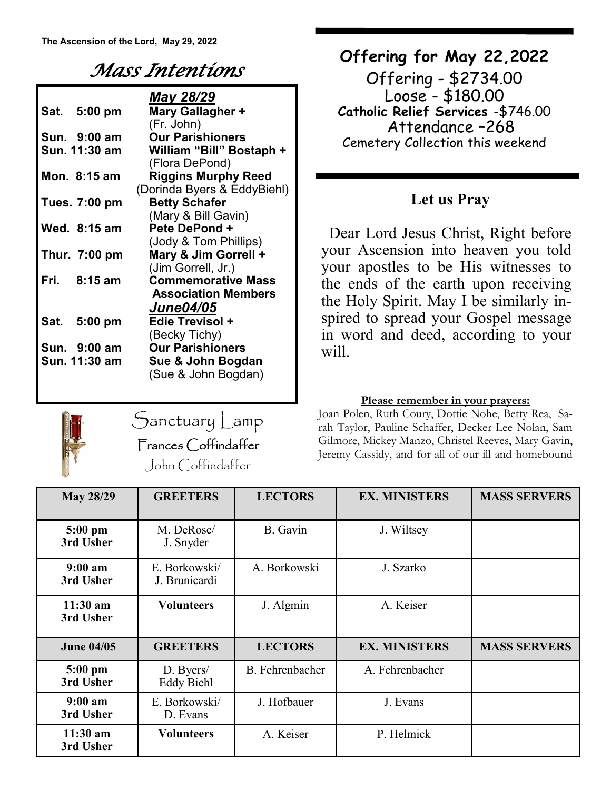## *Mass Intentions*

|                     | May 28/29                   |  |  |  |
|---------------------|-----------------------------|--|--|--|
| Sat. 5:00 pm        | Mary Gallagher +            |  |  |  |
|                     | (Fr. John)                  |  |  |  |
| <b>Sun. 9:00 am</b> | <b>Our Parishioners</b>     |  |  |  |
| Sun. 11:30 am       | William "Bill" Bostaph +    |  |  |  |
|                     | (Flora DePond)              |  |  |  |
| Mon. 8:15 am        | <b>Riggins Murphy Reed</b>  |  |  |  |
|                     | (Dorinda Byers & EddyBiehl) |  |  |  |
| Tues. 7:00 pm       | <b>Betty Schafer</b>        |  |  |  |
|                     | (Mary & Bill Gavin)         |  |  |  |
| Wed. 8:15 am        | Pete DePond +               |  |  |  |
|                     | (Jody & Tom Phillips)       |  |  |  |
| Thur. $7:00$ pm     | Mary & Jim Gorrell +        |  |  |  |
|                     | (Jim Gorrell, Jr.)          |  |  |  |
| Fri. 8:15 am        | <b>Commemorative Mass</b>   |  |  |  |
|                     | <b>Association Members</b>  |  |  |  |
|                     | <b>June04/05</b>            |  |  |  |
| Sat. 5:00 pm        | <b>Edie Trevisol +</b>      |  |  |  |
|                     | (Becky Tichy)               |  |  |  |
| Sun. 9:00 am        | <b>Our Parishioners</b>     |  |  |  |
| Sun. 11:30 am       | Sue & John Bogdan           |  |  |  |
|                     | (Sue & John Bogdan)         |  |  |  |



Sanctuary Lamp Frances Coffindaffer John Coffindaffer

## **Offering for May 22,2022**

Offering - \$2734.00 Loose - \$180.00 **Catholic Relief Services** -\$746.00 Attendance –268 Cemetery Collection this weekend

## **Let us Pray**

 Dear Lord Jesus Christ, Right before your Ascension into heaven you told your apostles to be His witnesses to the ends of the earth upon receiving the Holy Spirit. May I be similarly inspired to spread your Gospel message in word and deed, according to your will.

### **Please remember in your prayers:**

Joan Polen, Ruth Coury, Dottie Nohe, Betty Rea, Sarah Taylor, Pauline Schaffer, Decker Lee Nolan, Sam Gilmore, Mickey Manzo, Christel Reeves, Mary Gavin, Jeremy Cassidy, and for all of our ill and homebound

| <b>May 28/29</b>                 | <b>GREETERS</b>                | <b>LECTORS</b>         | <b>EX. MINISTERS</b> | <b>MASS SERVERS</b> |
|----------------------------------|--------------------------------|------------------------|----------------------|---------------------|
| 5:00 pm<br>3rd Usher             | M. DeRose/<br>J. Snyder        | B. Gavin               | J. Wiltsey           |                     |
| 9:00 a <sub>m</sub><br>3rd Usher | E. Borkowski/<br>J. Brunicardi | A. Borkowski           | J. Szarko            |                     |
| $11:30$ am<br>3rd Usher          | <b>Volunteers</b>              | J. Algmin              | A. Keiser            |                     |
| <b>June 04/05</b>                | <b>GREETERS</b>                | <b>LECTORS</b>         | <b>EX. MINISTERS</b> | <b>MASS SERVERS</b> |
| $5:00$ pm<br>3rd Usher           | D. Byers/<br><b>Eddy Biehl</b> | <b>B.</b> Fehrenbacher | A. Fehrenbacher      |                     |
| 9:00 a m<br>3rd Usher            | E. Borkowski/<br>D. Evans      | J. Hofbauer            | J. Evans             |                     |
| $11:30$ am<br>3rd Usher          | <b>Volunteers</b>              | A. Keiser              | P. Helmick           |                     |